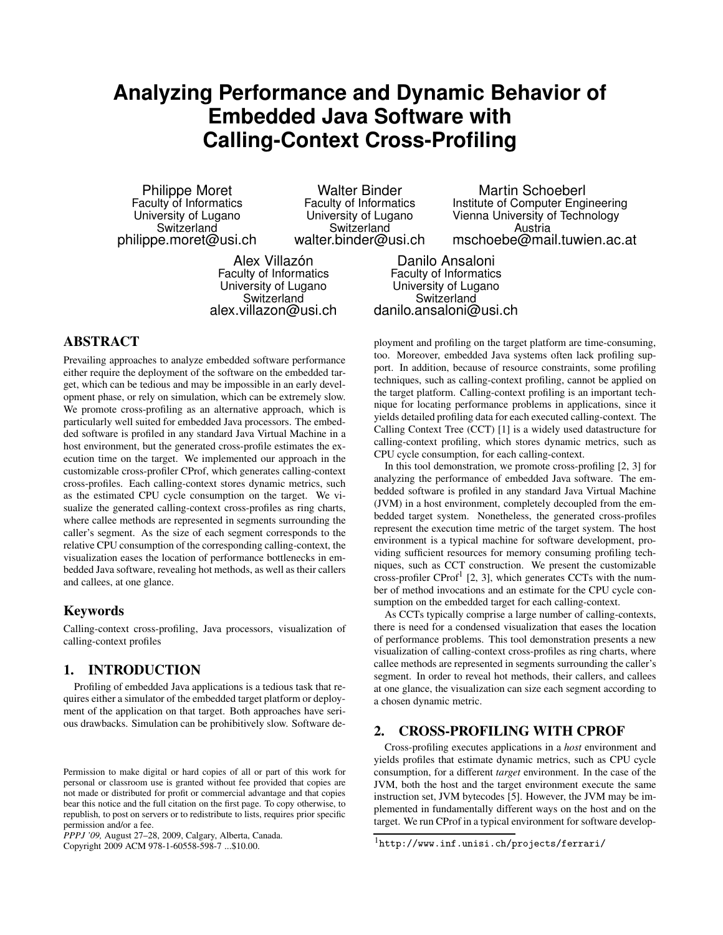# **Analyzing Performance and Dynamic Behavior of Embedded Java Software with Calling-Context Cross-Profiling**

Philippe Moret Faculty of Informatics University of Lugano **Switzerland** philippe.moret@usi.ch

Walter Binder Faculty of Informatics University of Lugano **Switzerland** walter.binder@usi.ch

Alex Villazón Faculty of Informatics University of Lugano Switzerland alex.villazon@usi.ch

Martin Schoeberl Institute of Computer Engineering Vienna University of Technology Austria mschoebe@mail.tuwien.ac.at

Danilo Ansaloni Faculty of Informatics University of Lugano Switzerland danilo.ansaloni@usi.ch

# ABSTRACT

Prevailing approaches to analyze embedded software performance either require the deployment of the software on the embedded target, which can be tedious and may be impossible in an early development phase, or rely on simulation, which can be extremely slow. We promote cross-profiling as an alternative approach, which is particularly well suited for embedded Java processors. The embedded software is profiled in any standard Java Virtual Machine in a host environment, but the generated cross-profile estimates the execution time on the target. We implemented our approach in the customizable cross-profiler CProf, which generates calling-context cross-profiles. Each calling-context stores dynamic metrics, such as the estimated CPU cycle consumption on the target. We visualize the generated calling-context cross-profiles as ring charts, where callee methods are represented in segments surrounding the caller's segment. As the size of each segment corresponds to the relative CPU consumption of the corresponding calling-context, the visualization eases the location of performance bottlenecks in embedded Java software, revealing hot methods, as well as their callers and callees, at one glance.

## Keywords

Calling-context cross-profiling, Java processors, visualization of calling-context profiles

## 1. INTRODUCTION

Profiling of embedded Java applications is a tedious task that requires either a simulator of the embedded target platform or deployment of the application on that target. Both approaches have serious drawbacks. Simulation can be prohibitively slow. Software de-

*PPPJ '09,* August 27–28, 2009, Calgary, Alberta, Canada. Copyright 2009 ACM 978-1-60558-598-7 ...\$10.00.

ployment and profiling on the target platform are time-consuming, too. Moreover, embedded Java systems often lack profiling support. In addition, because of resource constraints, some profiling techniques, such as calling-context profiling, cannot be applied on the target platform. Calling-context profiling is an important technique for locating performance problems in applications, since it yields detailed profiling data for each executed calling-context. The Calling Context Tree (CCT) [1] is a widely used datastructure for calling-context profiling, which stores dynamic metrics, such as CPU cycle consumption, for each calling-context.

In this tool demonstration, we promote cross-profiling [2, 3] for analyzing the performance of embedded Java software. The embedded software is profiled in any standard Java Virtual Machine (JVM) in a host environment, completely decoupled from the embedded target system. Nonetheless, the generated cross-profiles represent the execution time metric of the target system. The host environment is a typical machine for software development, providing sufficient resources for memory consuming profiling techniques, such as CCT construction. We present the customizable cross-profiler CProf<sup>1</sup> [2, 3], which generates CCTs with the number of method invocations and an estimate for the CPU cycle consumption on the embedded target for each calling-context.

As CCTs typically comprise a large number of calling-contexts, there is need for a condensed visualization that eases the location of performance problems. This tool demonstration presents a new visualization of calling-context cross-profiles as ring charts, where callee methods are represented in segments surrounding the caller's segment. In order to reveal hot methods, their callers, and callees at one glance, the visualization can size each segment according to a chosen dynamic metric.

## 2. CROSS-PROFILING WITH CPROF

Cross-profiling executes applications in a *host* environment and yields profiles that estimate dynamic metrics, such as CPU cycle consumption, for a different *target* environment. In the case of the JVM, both the host and the target environment execute the same instruction set, JVM bytecodes [5]. However, the JVM may be implemented in fundamentally different ways on the host and on the target. We run CProf in a typical environment for software develop-

Permission to make digital or hard copies of all or part of this work for personal or classroom use is granted without fee provided that copies are not made or distributed for profit or commercial advantage and that copies bear this notice and the full citation on the first page. To copy otherwise, to republish, to post on servers or to redistribute to lists, requires prior specific permission and/or a fee.

<sup>1</sup>http://www.inf.unisi.ch/projects/ferrari/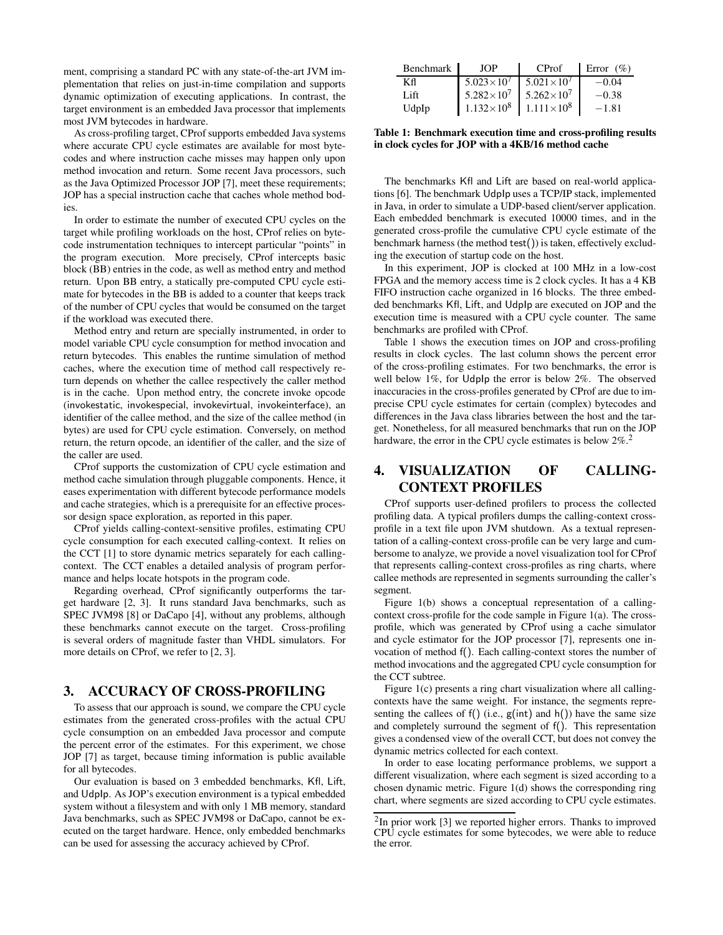ment, comprising a standard PC with any state-of-the-art JVM implementation that relies on just-in-time compilation and supports dynamic optimization of executing applications. In contrast, the target environment is an embedded Java processor that implements most JVM bytecodes in hardware.

As cross-profiling target, CProf supports embedded Java systems where accurate CPU cycle estimates are available for most bytecodes and where instruction cache misses may happen only upon method invocation and return. Some recent Java processors, such as the Java Optimized Processor JOP [7], meet these requirements; JOP has a special instruction cache that caches whole method bodies.

In order to estimate the number of executed CPU cycles on the target while profiling workloads on the host, CProf relies on bytecode instrumentation techniques to intercept particular "points" in the program execution. More precisely, CProf intercepts basic block (BB) entries in the code, as well as method entry and method return. Upon BB entry, a statically pre-computed CPU cycle estimate for bytecodes in the BB is added to a counter that keeps track of the number of CPU cycles that would be consumed on the target if the workload was executed there.

Method entry and return are specially instrumented, in order to model variable CPU cycle consumption for method invocation and return bytecodes. This enables the runtime simulation of method caches, where the execution time of method call respectively return depends on whether the callee respectively the caller method is in the cache. Upon method entry, the concrete invoke opcode (invokestatic, invokespecial, invokevirtual, invokeinterface), an identifier of the callee method, and the size of the callee method (in bytes) are used for CPU cycle estimation. Conversely, on method return, the return opcode, an identifier of the caller, and the size of the caller are used.

CProf supports the customization of CPU cycle estimation and method cache simulation through pluggable components. Hence, it eases experimentation with different bytecode performance models and cache strategies, which is a prerequisite for an effective processor design space exploration, as reported in this paper.

CProf yields calling-context-sensitive profiles, estimating CPU cycle consumption for each executed calling-context. It relies on the CCT [1] to store dynamic metrics separately for each callingcontext. The CCT enables a detailed analysis of program performance and helps locate hotspots in the program code.

Regarding overhead, CProf significantly outperforms the target hardware [2, 3]. It runs standard Java benchmarks, such as SPEC JVM98 [8] or DaCapo [4], without any problems, although these benchmarks cannot execute on the target. Cross-profiling is several orders of magnitude faster than VHDL simulators. For more details on CProf, we refer to [2, 3].

## 3. ACCURACY OF CROSS-PROFILING

To assess that our approach is sound, we compare the CPU cycle estimates from the generated cross-profiles with the actual CPU cycle consumption on an embedded Java processor and compute the percent error of the estimates. For this experiment, we chose JOP [7] as target, because timing information is public available for all bytecodes.

Our evaluation is based on 3 embedded benchmarks, Kfl, Lift, and UdpIp. As JOP's execution environment is a typical embedded system without a filesystem and with only 1 MB memory, standard Java benchmarks, such as SPEC JVM98 or DaCapo, cannot be executed on the target hardware. Hence, only embedded benchmarks can be used for assessing the accuracy achieved by CProf.

| Benchmark | <b>JOP</b>                           | CProf               | Error $(\% )$ |
|-----------|--------------------------------------|---------------------|---------------|
| Кfl       | $5.023\times10^{7}$                  | $5.021\times10^{7}$ | $-0.04$       |
| Lift      | $5.282\times10^{7}$                  | $5.262\times10^{7}$ | $-0.38$       |
| UdpIp     | $1.132\times10^8$ 1.111 $\times10^8$ |                     | $-1.81$       |

Table 1: Benchmark execution time and cross-profiling results in clock cycles for JOP with a 4KB/16 method cache

The benchmarks Kfl and Lift are based on real-world applications [6]. The benchmark UdpIp uses a TCP/IP stack, implemented in Java, in order to simulate a UDP-based client/server application. Each embedded benchmark is executed 10000 times, and in the generated cross-profile the cumulative CPU cycle estimate of the benchmark harness (the method test()) is taken, effectively excluding the execution of startup code on the host.

In this experiment, JOP is clocked at 100 MHz in a low-cost FPGA and the memory access time is 2 clock cycles. It has a 4 KB FIFO instruction cache organized in 16 blocks. The three embedded benchmarks Kfl, Lift, and UdpIp are executed on JOP and the execution time is measured with a CPU cycle counter. The same benchmarks are profiled with CProf.

Table 1 shows the execution times on JOP and cross-profiling results in clock cycles. The last column shows the percent error of the cross-profiling estimates. For two benchmarks, the error is well below 1%, for UdpIp the error is below 2%. The observed inaccuracies in the cross-profiles generated by CProf are due to imprecise CPU cycle estimates for certain (complex) bytecodes and differences in the Java class libraries between the host and the target. Nonetheless, for all measured benchmarks that run on the JOP hardware, the error in the CPU cycle estimates is below  $2\%$ .<sup>2</sup>

# 4. VISUALIZATION OF CALLING-CONTEXT PROFILES

CProf supports user-defined profilers to process the collected profiling data. A typical profilers dumps the calling-context crossprofile in a text file upon JVM shutdown. As a textual representation of a calling-context cross-profile can be very large and cumbersome to analyze, we provide a novel visualization tool for CProf that represents calling-context cross-profiles as ring charts, where callee methods are represented in segments surrounding the caller's segment.

Figure 1(b) shows a conceptual representation of a callingcontext cross-profile for the code sample in Figure 1(a). The crossprofile, which was generated by CProf using a cache simulator and cycle estimator for the JOP processor [7], represents one invocation of method f(). Each calling-context stores the number of method invocations and the aggregated CPU cycle consumption for the CCT subtree.

Figure 1(c) presents a ring chart visualization where all callingcontexts have the same weight. For instance, the segments representing the callees of  $f()$  (i.e.,  $g(int)$  and  $h()$ ) have the same size and completely surround the segment of f(). This representation gives a condensed view of the overall CCT, but does not convey the dynamic metrics collected for each context.

In order to ease locating performance problems, we support a different visualization, where each segment is sized according to a chosen dynamic metric. Figure 1(d) shows the corresponding ring chart, where segments are sized according to CPU cycle estimates.

<sup>2</sup>In prior work [3] we reported higher errors. Thanks to improved CPU cycle estimates for some bytecodes, we were able to reduce the error.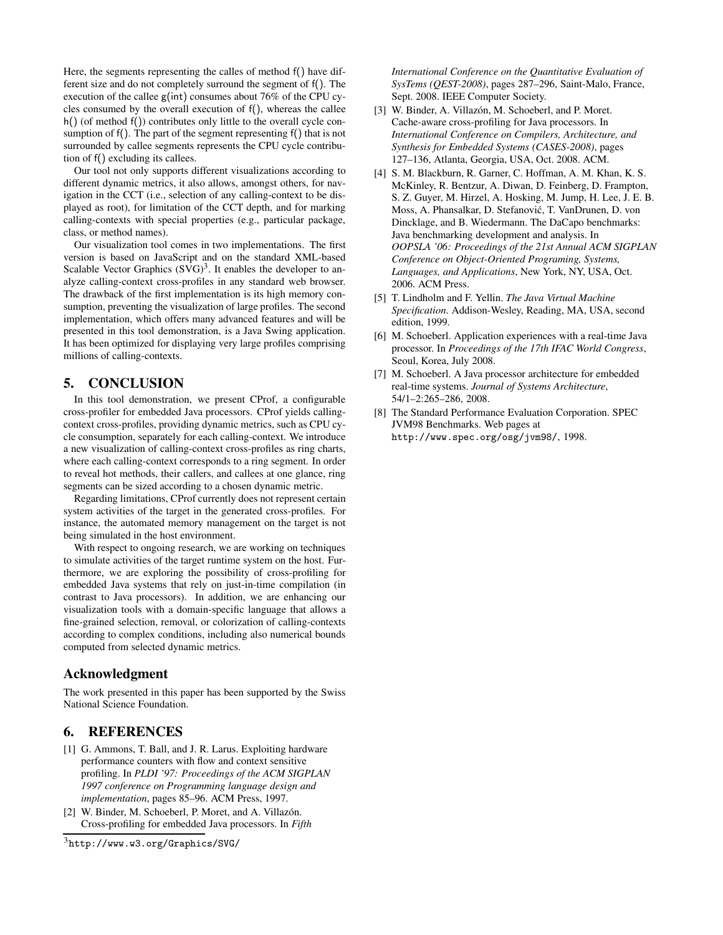Here, the segments representing the calles of method f() have different size and do not completely surround the segment of f(). The execution of the callee  $g(int)$  consumes about 76% of the CPU cycles consumed by the overall execution of f(), whereas the callee h() (of method f()) contributes only little to the overall cycle consumption of f(). The part of the segment representing f() that is not surrounded by callee segments represents the CPU cycle contribution of f() excluding its callees.

Our tool not only supports different visualizations according to different dynamic metrics, it also allows, amongst others, for navigation in the CCT (i.e., selection of any calling-context to be displayed as root), for limitation of the CCT depth, and for marking calling-contexts with special properties (e.g., particular package, class, or method names).

Our visualization tool comes in two implementations. The first version is based on JavaScript and on the standard XML-based Scalable Vector Graphics  $(SVG)^3$ . It enables the developer to analyze calling-context cross-profiles in any standard web browser. The drawback of the first implementation is its high memory consumption, preventing the visualization of large profiles. The second implementation, which offers many advanced features and will be presented in this tool demonstration, is a Java Swing application. It has been optimized for displaying very large profiles comprising millions of calling-contexts.

#### 5. CONCLUSION

In this tool demonstration, we present CProf, a configurable cross-profiler for embedded Java processors. CProf yields callingcontext cross-profiles, providing dynamic metrics, such as CPU cycle consumption, separately for each calling-context. We introduce a new visualization of calling-context cross-profiles as ring charts, where each calling-context corresponds to a ring segment. In order to reveal hot methods, their callers, and callees at one glance, ring segments can be sized according to a chosen dynamic metric.

Regarding limitations, CProf currently does not represent certain system activities of the target in the generated cross-profiles. For instance, the automated memory management on the target is not being simulated in the host environment.

With respect to ongoing research, we are working on techniques to simulate activities of the target runtime system on the host. Furthermore, we are exploring the possibility of cross-profiling for embedded Java systems that rely on just-in-time compilation (in contrast to Java processors). In addition, we are enhancing our visualization tools with a domain-specific language that allows a fine-grained selection, removal, or colorization of calling-contexts according to complex conditions, including also numerical bounds computed from selected dynamic metrics.

#### Acknowledgment

The work presented in this paper has been supported by the Swiss National Science Foundation.

#### 6. REFERENCES

- [1] G. Ammons, T. Ball, and J. R. Larus. Exploiting hardware performance counters with flow and context sensitive profiling. In *PLDI '97: Proceedings of the ACM SIGPLAN 1997 conference on Programming language design and implementation*, pages 85–96. ACM Press, 1997.
- [2] W. Binder, M. Schoeberl, P. Moret, and A. Villazón. Cross-profiling for embedded Java processors. In *Fifth*

*International Conference on the Quantitative Evaluation of SysTems (QEST-2008)*, pages 287–296, Saint-Malo, France, Sept. 2008. IEEE Computer Society.

- [3] W. Binder, A. Villazón, M. Schoeberl, and P. Moret. Cache-aware cross-profiling for Java processors. In *International Conference on Compilers, Architecture, and Synthesis for Embedded Systems (CASES-2008)*, pages 127–136, Atlanta, Georgia, USA, Oct. 2008. ACM.
- [4] S. M. Blackburn, R. Garner, C. Hoffman, A. M. Khan, K. S. McKinley, R. Bentzur, A. Diwan, D. Feinberg, D. Frampton, S. Z. Guyer, M. Hirzel, A. Hosking, M. Jump, H. Lee, J. E. B. Moss, A. Phansalkar, D. Stefanović, T. VanDrunen, D. von Dincklage, and B. Wiedermann. The DaCapo benchmarks: Java benchmarking development and analysis. In *OOPSLA '06: Proceedings of the 21st Annual ACM SIGPLAN Conference on Object-Oriented Programing, Systems, Languages, and Applications*, New York, NY, USA, Oct. 2006. ACM Press.
- [5] T. Lindholm and F. Yellin. *The Java Virtual Machine Specification*. Addison-Wesley, Reading, MA, USA, second edition, 1999.
- [6] M. Schoeberl. Application experiences with a real-time Java processor. In *Proceedings of the 17th IFAC World Congress*, Seoul, Korea, July 2008.
- [7] M. Schoeberl. A Java processor architecture for embedded real-time systems. *Journal of Systems Architecture*, 54/1–2:265–286, 2008.
- [8] The Standard Performance Evaluation Corporation. SPEC JVM98 Benchmarks. Web pages at http://www.spec.org/osg/jvm98/, 1998.

<sup>3</sup>http://www.w3.org/Graphics/SVG/